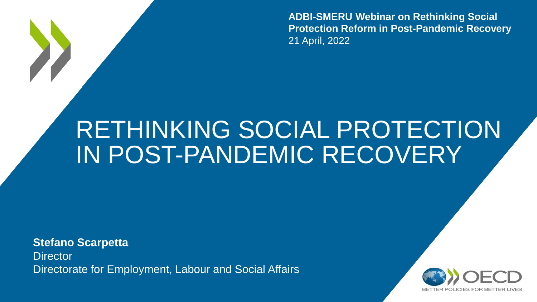**ADBI-SMERU Webinar on Rethinking Social Protection Reform in Post-Pandemic Recovery** 21 April, 2022

## RETHINKING SOCIAL PROTECTION IN POST-PANDEMIC RECOVERY

**Stefano Scarpetta Director** Directorate for Employment, Labour and Social Affairs

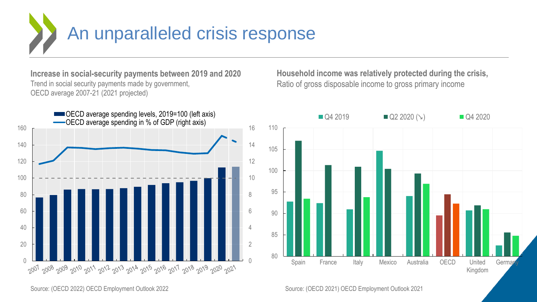

**Increase in social-security payments between 2019 and 2020**  Trend in social security payments made by government, OECD average 2007-21 (2021 projected)



**Household income was relatively protected during the crisis,**  Ratio of gross disposable income to gross primary income



Source: (OECD 2022) OECD Employment Outlook 2022

Source: (OECD 2021) OECD Employment Outlook 2021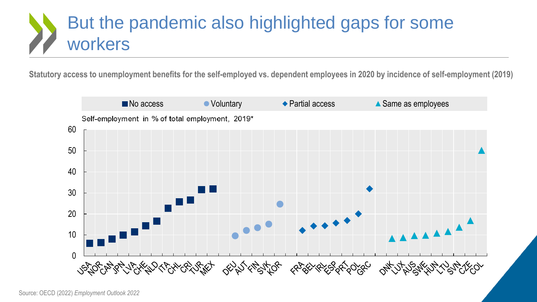#### But the pandemic also highlighted gaps for some workers

**Statutory access to unemployment benefits for the self-employed vs. dependent employees in 2020 by incidence of self-employment (2019)**

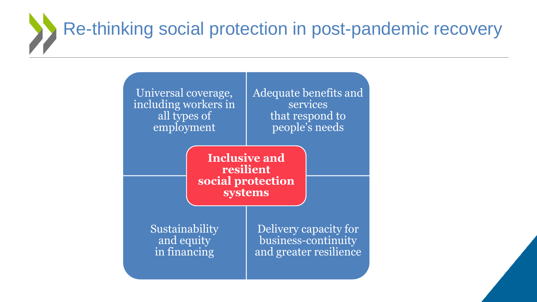# Re-thinking social protection in post-pandemic recovery

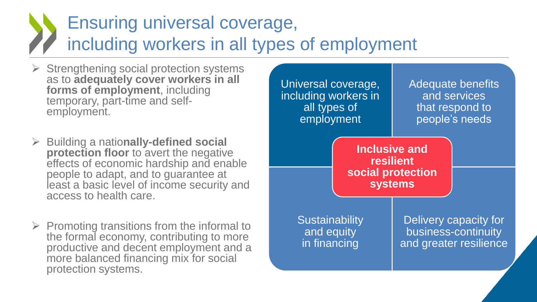#### Ensuring universal coverage, including workers in all types of employment

- $\triangleright$  Strengthening social protection systems as to **adequately cover workers in all forms of employment**, including temporary, part-time and selfemployment.
- Building a natio**nally-defined social protection floor** to avert the negative effects of economic hardship and enable people to adapt, and to guarantee at least a basic level of income security and access to health care.
- $\triangleright$  Promoting transitions from the informal to the formal economy, contributing to more productive and decent employment and a more balanced financing mix for social protection systems.

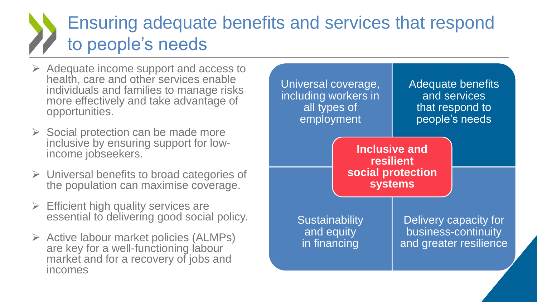#### Ensuring adequate benefits and services that respond to people's needs

- $\triangleright$  Adequate income support and access to health, care and other services enable individuals and families to manage risks more effectively and take advantage of opportunities.
- $\triangleright$  Social protection can be made more inclusive by ensuring support for lowincome jobseekers.
- $\triangleright$  Universal benefits to broad categories of the population can maximise coverage.
- $\triangleright$  Efficient high quality services are essential to delivering good social policy.
- $\triangleright$  Active labour market policies (ALMPs) are key for a well-functioning labour market and for a recovery of jobs and incomes

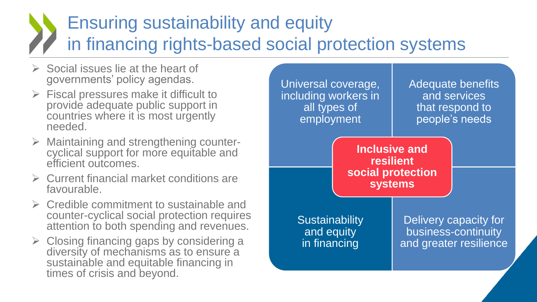#### Ensuring sustainability and equity in financing rights-based social protection systems

- $\triangleright$  Social issues lie at the heart of governments' policy agendas.
- $\triangleright$  Fiscal pressures make it difficult to provide adequate public support in countries where it is most urgently needed.
- $\triangleright$  Maintaining and strengthening countercyclical support for more equitable and efficient outcomes.
- $\triangleright$  Current financial market conditions are favourable.
- $\triangleright$  Credible commitment to sustainable and counter-cyclical social protection requires attention to both spending and revenues.
- $\triangleright$  Closing financing gaps by considering a diversity of mechanisms as to ensure a sustainable and equitable financing in times of crisis and beyond.

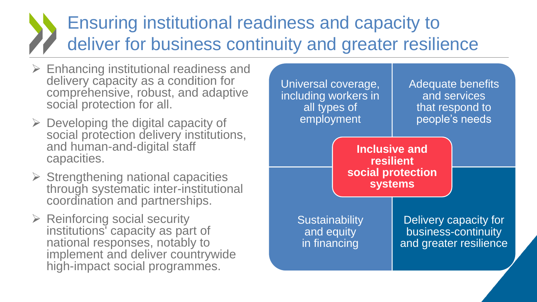#### Ensuring institutional readiness and capacity to deliver for business continuity and greater resilience

- $\triangleright$  Enhancing institutional readiness and delivery capacity as a condition for comprehensive, robust, and adaptive social protection for all.
- $\triangleright$  Developing the digital capacity of social protection delivery institutions, and human-and-digital staff capacities.
- $\triangleright$  Strengthening national capacities through systematic inter-institutional coordination and partnerships.
- $\triangleright$  Reinforcing social security institutions' capacity as part of national responses, notably to implement and deliver countrywide high-impact social programmes.